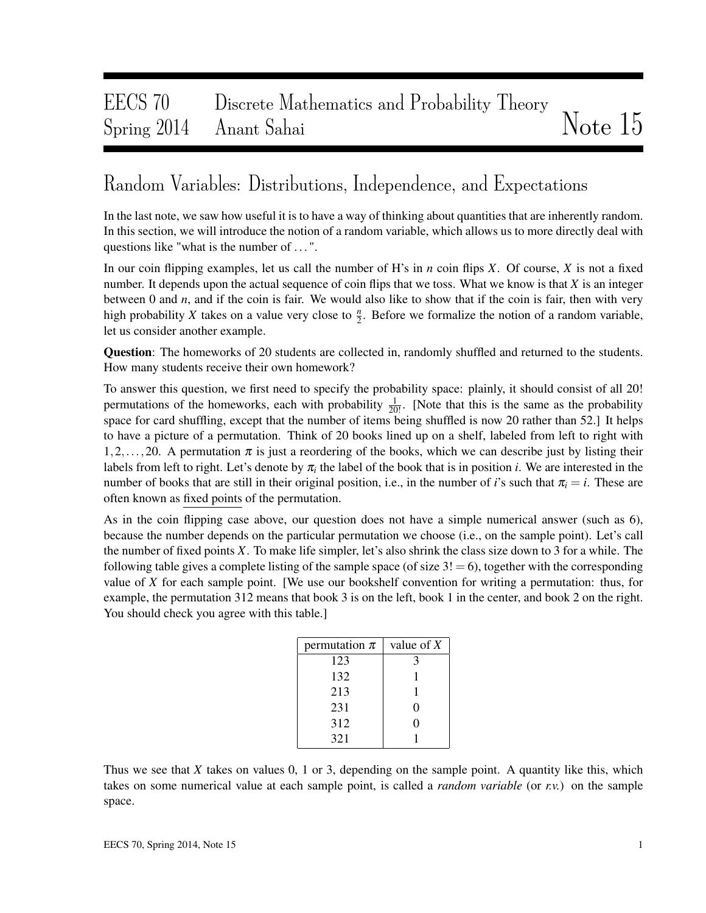# EECS 70 Discrete Mathematics and Probability Theory  $S_{\text{pring}}$  2014 Anant Sahai  $N_{\text{ote}}$  15

## Random Variables: Distributions, Independence, and Expectations

In the last note, we saw how useful it is to have a way of thinking about quantities that are inherently random. In this section, we will introduce the notion of a random variable, which allows us to more directly deal with questions like "what is the number of . . . ".

In our coin flipping examples, let us call the number of H's in *n* coin flips *X*. Of course, *X* is not a fixed number. It depends upon the actual sequence of coin flips that we toss. What we know is that *X* is an integer between 0 and *n*, and if the coin is fair. We would also like to show that if the coin is fair, then with very high probability *X* takes on a value very close to  $\frac{n}{2}$ . Before we formalize the notion of a random variable, let us consider another example.

Question: The homeworks of 20 students are collected in, randomly shuffled and returned to the students. How many students receive their own homework?

To answer this question, we first need to specify the probability space: plainly, it should consist of all 20! permutations of the homeworks, each with probability  $\frac{1}{20!}$ . [Note that this is the same as the probability space for card shuffling, except that the number of items being shuffled is now 20 rather than 52.] It helps to have a picture of a permutation. Think of 20 books lined up on a shelf, labeled from left to right with 1,2,...,20. A permutation  $\pi$  is just a reordering of the books, which we can describe just by listing their labels from left to right. Let's denote by  $\pi_i$  the label of the book that is in position *i*. We are interested in the number of books that are still in their original position, i.e., in the number of *i*'s such that  $\pi_i = i$ . These are often known as fixed points of the permutation.

As in the coin flipping case above, our question does not have a simple numerical answer (such as 6), because the number depends on the particular permutation we choose (i.e., on the sample point). Let's call the number of fixed points *X*. To make life simpler, let's also shrink the class size down to 3 for a while. The following table gives a complete listing of the sample space (of size  $3! = 6$ ), together with the corresponding value of *X* for each sample point. [We use our bookshelf convention for writing a permutation: thus, for example, the permutation 312 means that book 3 is on the left, book 1 in the center, and book 2 on the right. You should check you agree with this table.]

| permutation $\pi$ | value of $X$ |  |  |  |  |
|-------------------|--------------|--|--|--|--|
| 123               |              |  |  |  |  |
| 132               |              |  |  |  |  |
| 213               |              |  |  |  |  |
| 231               |              |  |  |  |  |
| 312               |              |  |  |  |  |
| 321               |              |  |  |  |  |

Thus we see that *X* takes on values 0, 1 or 3, depending on the sample point. A quantity like this, which takes on some numerical value at each sample point, is called a *random variable* (or *r.v.*) on the sample space.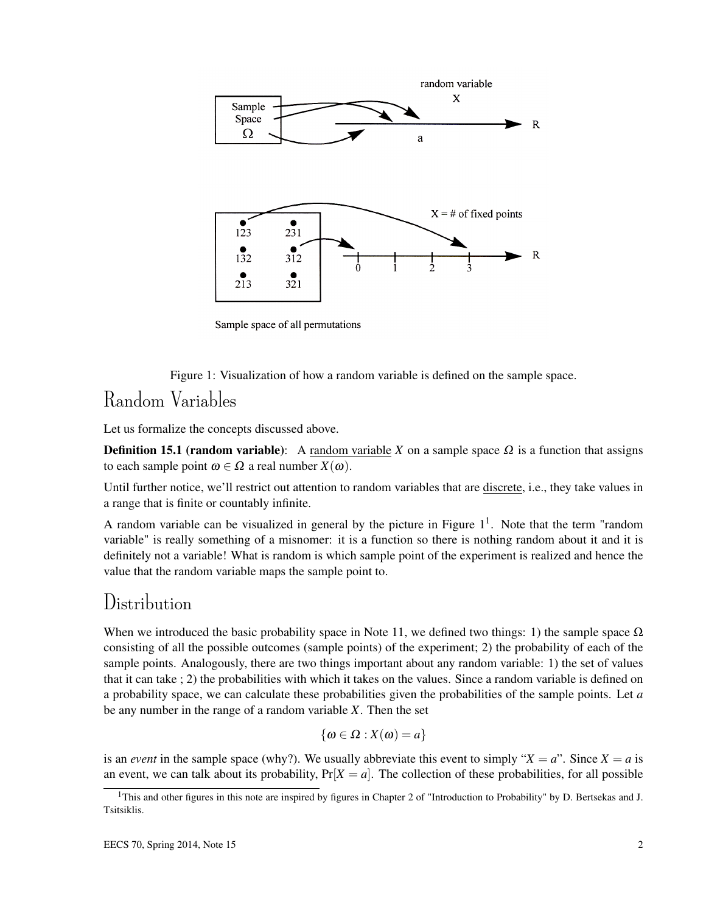

Sample space of all permutations

Figure 1: Visualization of how a random variable is defined on the sample space.

### Random Variables

Let us formalize the concepts discussed above.

**Definition 15.1 (random variable):** A random variable *X* on a sample space  $Ω$  is a function that assigns to each sample point  $\omega \in \Omega$  a real number  $X(\omega)$ .

Until further notice, we'll restrict out attention to random variables that are discrete, i.e., they take values in a range that is finite or countably infinite.

A random variable can be visualized in general by the picture in Figure  $1<sup>1</sup>$ . Note that the term "random variable" is really something of a misnomer: it is a function so there is nothing random about it and it is definitely not a variable! What is random is which sample point of the experiment is realized and hence the value that the random variable maps the sample point to.

### Distribution

When we introduced the basic probability space in Note 11, we defined two things: 1) the sample space  $\Omega$ consisting of all the possible outcomes (sample points) of the experiment; 2) the probability of each of the sample points. Analogously, there are two things important about any random variable: 1) the set of values that it can take ; 2) the probabilities with which it takes on the values. Since a random variable is defined on a probability space, we can calculate these probabilities given the probabilities of the sample points. Let *a* be any number in the range of a random variable *X*. Then the set

$$
\{\omega \in \Omega : X(\omega) = a\}
$$

is an *event* in the sample space (why?). We usually abbreviate this event to simply " $X = a$ ". Since  $X = a$  is an event, we can talk about its probability,  $Pr[X = a]$ . The collection of these probabilities, for all possible

 $1$ This and other figures in this note are inspired by figures in Chapter 2 of "Introduction to Probability" by D. Bertsekas and J. Tsitsiklis.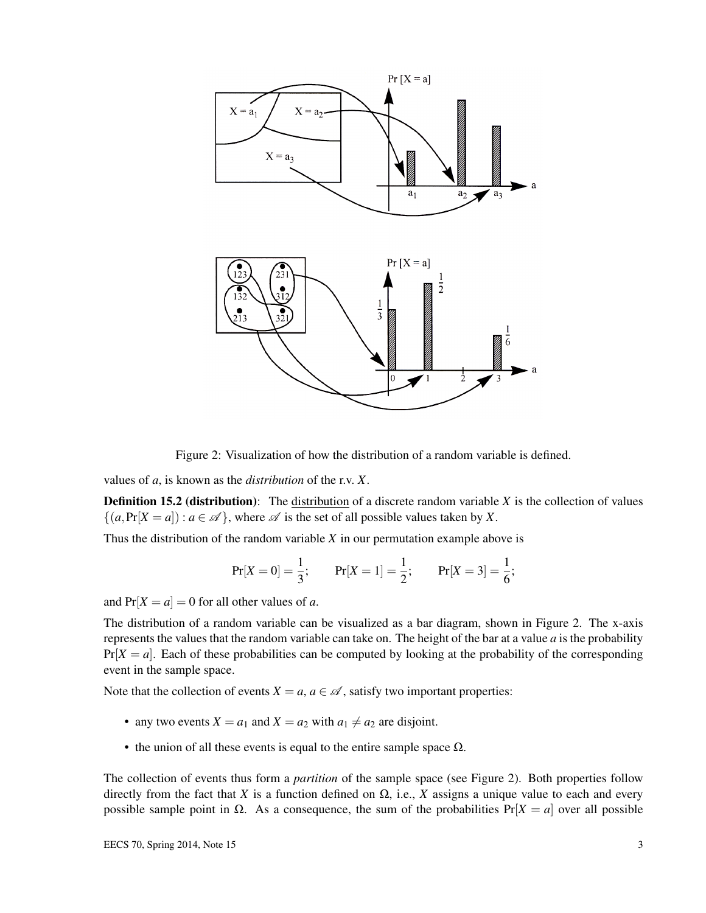

Figure 2: Visualization of how the distribution of a random variable is defined.

values of *a*, is known as the *distribution* of the r.v. *X*.

**Definition 15.2 (distribution):** The distribution of a discrete random variable *X* is the collection of values  $\{(a, \Pr[X = a]) : a \in \mathcal{A}\}\,$ , where  $\mathcal A$  is the set of all possible values taken by X.

Thus the distribution of the random variable *X* in our permutation example above is

$$
Pr[X = 0] = \frac{1}{3};
$$
  $Pr[X = 1] = \frac{1}{2};$   $Pr[X = 3] = \frac{1}{6};$ 

and  $Pr[X = a] = 0$  for all other values of *a*.

The distribution of a random variable can be visualized as a bar diagram, shown in Figure 2. The x-axis represents the values that the random variable can take on. The height of the bar at a value *a* is the probability  $Pr[X = a]$ . Each of these probabilities can be computed by looking at the probability of the corresponding event in the sample space.

Note that the collection of events  $X = a, a \in \mathcal{A}$ , satisfy two important properties:

- any two events  $X = a_1$  and  $X = a_2$  with  $a_1 \neq a_2$  are disjoint.
- the union of all these events is equal to the entire sample space  $\Omega$ .

The collection of events thus form a *partition* of the sample space (see Figure 2). Both properties follow directly from the fact that *X* is a function defined on  $\Omega$ , i.e., *X* assigns a unique value to each and every possible sample point in  $\Omega$ . As a consequence, the sum of the probabilities  $Pr[X = a]$  over all possible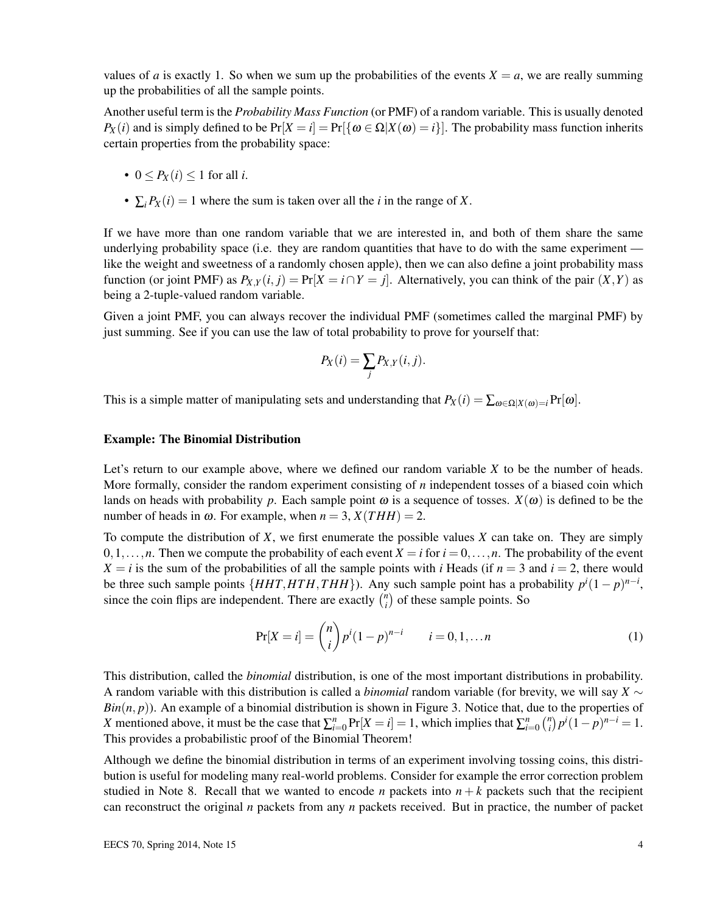values of *a* is exactly 1. So when we sum up the probabilities of the events  $X = a$ , we are really summing up the probabilities of all the sample points.

Another useful term is the *Probability Mass Function* (or PMF) of a random variable. This is usually denoted  $P_X(i)$  and is simply defined to be  $Pr[X = i] = Pr[\{\omega \in \Omega | X(\omega) = i\}]$ . The probability mass function inherits certain properties from the probability space:

- $0 \leq P_X(i) \leq 1$  for all *i*.
- $\sum_i P_X(i) = 1$  where the sum is taken over all the *i* in the range of *X*.

If we have more than one random variable that we are interested in, and both of them share the same underlying probability space (i.e. they are random quantities that have to do with the same experiment like the weight and sweetness of a randomly chosen apple), then we can also define a joint probability mass function (or joint PMF) as  $P_{X,Y}(i, j) = Pr[X = i \cap Y = j]$ . Alternatively, you can think of the pair  $(X, Y)$  as being a 2-tuple-valued random variable.

Given a joint PMF, you can always recover the individual PMF (sometimes called the marginal PMF) by just summing. See if you can use the law of total probability to prove for yourself that:

$$
P_X(i) = \sum_j P_{X,Y}(i,j).
$$

This is a simple matter of manipulating sets and understanding that  $P_X(i) = \sum_{\omega \in \Omega | X(\omega) = i} Pr[\omega]$ .

#### Example: The Binomial Distribution

Let's return to our example above, where we defined our random variable *X* to be the number of heads. More formally, consider the random experiment consisting of *n* independent tosses of a biased coin which lands on heads with probability p. Each sample point  $\omega$  is a sequence of tosses.  $X(\omega)$  is defined to be the number of heads in  $\omega$ . For example, when  $n = 3$ ,  $X(THH) = 2$ .

To compute the distribution of *X*, we first enumerate the possible values *X* can take on. They are simply 0,1,...,*n*. Then we compute the probability of each event  $X = i$  for  $i = 0, \ldots, n$ . The probability of the event  $X = i$  is the sum of the probabilities of all the sample points with *i* Heads (if  $n = 3$  and  $i = 2$ , there would be three such sample points  $\{HHT, HTH, THH\}$ ). Any such sample point has a probability  $p^{i}(1-p)^{n-i}$ , since the coin flips are independent. There are exactly  $\binom{n}{i}$  $\binom{n}{i}$  of these sample points. So

$$
Pr[X = i] = {n \choose i} p^{i} (1-p)^{n-i} \qquad i = 0, 1, ... n
$$
 (1)

This distribution, called the *binomial* distribution, is one of the most important distributions in probability. A random variable with this distribution is called a *binomial* random variable (for brevity, we will say *X* ∼  $Bin(n, p)$ ). An example of a binomial distribution is shown in Figure 3. Notice that, due to the properties of *X* mentioned above, it must be the case that  $\sum_{i=0}^{n} Pr[X = i] = 1$ , which implies that  $\sum_{i=0}^{n} {n \choose i}$  $\binom{n}{i} p^i (1-p)^{n-i} = 1.$ This provides a probabilistic proof of the Binomial Theorem!

Although we define the binomial distribution in terms of an experiment involving tossing coins, this distribution is useful for modeling many real-world problems. Consider for example the error correction problem studied in Note 8. Recall that we wanted to encode *n* packets into  $n + k$  packets such that the recipient can reconstruct the original *n* packets from any *n* packets received. But in practice, the number of packet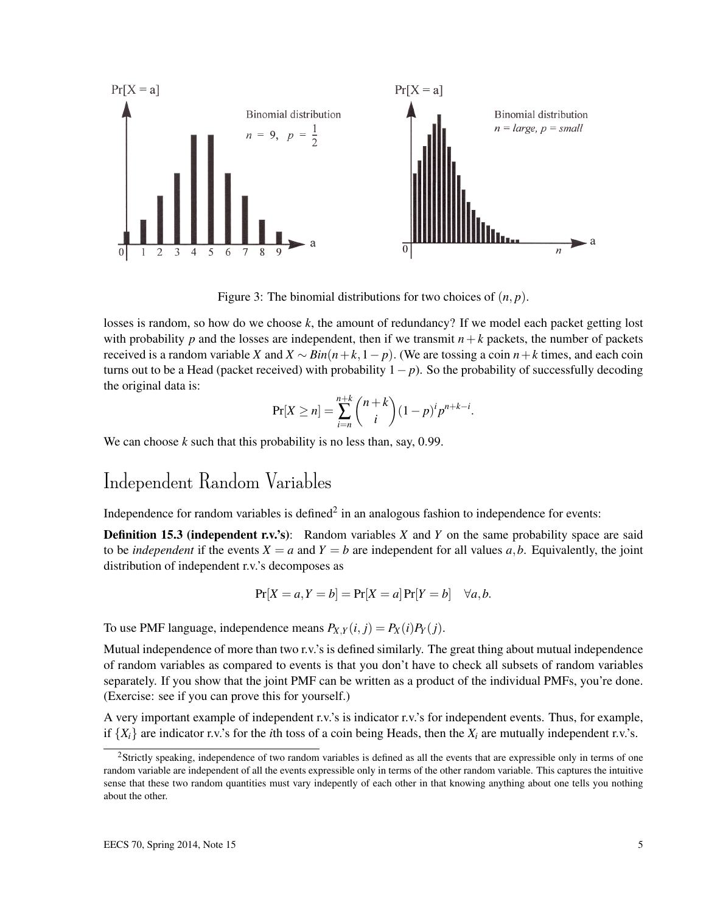

Figure 3: The binomial distributions for two choices of (*n*, *p*).

losses is random, so how do we choose *k*, the amount of redundancy? If we model each packet getting lost with probability  $p$  and the losses are independent, then if we transmit  $n+k$  packets, the number of packets received is a random variable *X* and *X* ∼ *Bin*( $n+k$ , 1−  $p$ ). (We are tossing a coin  $n+k$  times, and each coin turns out to be a Head (packet received) with probability 1− *p*). So the probability of successfully decoding the original data is:

$$
Pr[X \ge n] = \sum_{i=n}^{n+k} {n+k \choose i} (1-p)^i p^{n+k-i}.
$$

We can choose *k* such that this probability is no less than, say, 0.99.

## Independent Random Variables

Independence for random variables is defined<sup>2</sup> in an analogous fashion to independence for events:

**Definition 15.3 (independent r.v.'s):** Random variables *X* and *Y* on the same probability space are said to be *independent* if the events  $X = a$  and  $Y = b$  are independent for all values  $a, b$ . Equivalently, the joint distribution of independent r.v.'s decomposes as

$$
Pr[X = a, Y = b] = Pr[X = a] Pr[Y = b] \quad \forall a, b.
$$

To use PMF language, independence means  $P_{X,Y}(i, j) = P_X(i)P_Y(j)$ .

Mutual independence of more than two r.v.'s is defined similarly. The great thing about mutual independence of random variables as compared to events is that you don't have to check all subsets of random variables separately. If you show that the joint PMF can be written as a product of the individual PMFs, you're done. (Exercise: see if you can prove this for yourself.)

A very important example of independent r.v.'s is indicator r.v.'s for independent events. Thus, for example, if  ${X_i}$  are indicator r.v.'s for the *i*th toss of a coin being Heads, then the  $X_i$  are mutually independent r.v.'s.

<sup>&</sup>lt;sup>2</sup>Strictly speaking, independence of two random variables is defined as all the events that are expressible only in terms of one random variable are independent of all the events expressible only in terms of the other random variable. This captures the intuitive sense that these two random quantities must vary indepently of each other in that knowing anything about one tells you nothing about the other.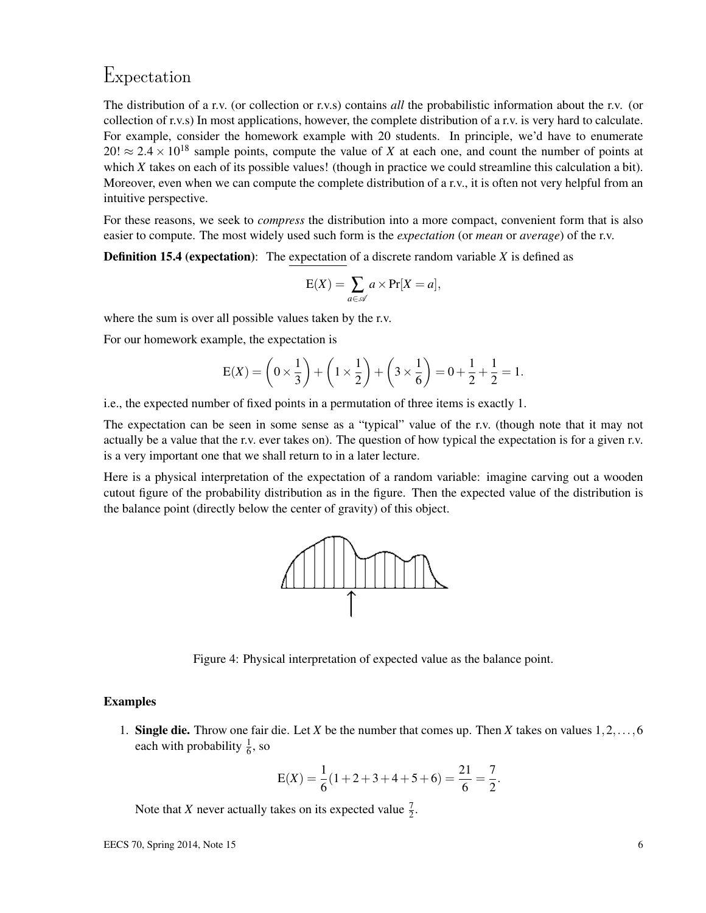#### Expectation

The distribution of a r.v. (or collection or r.v.s) contains *all* the probabilistic information about the r.v. (or collection of r.v.s) In most applications, however, the complete distribution of a r.v. is very hard to calculate. For example, consider the homework example with 20 students. In principle, we'd have to enumerate  $20! \approx 2.4 \times 10^{18}$  sample points, compute the value of *X* at each one, and count the number of points at which *X* takes on each of its possible values! (though in practice we could streamline this calculation a bit). Moreover, even when we can compute the complete distribution of a r.v., it is often not very helpful from an intuitive perspective.

For these reasons, we seek to *compress* the distribution into a more compact, convenient form that is also easier to compute. The most widely used such form is the *expectation* (or *mean* or *average*) of the r.v.

Definition 15.4 (expectation): The expectation of a discrete random variable *X* is defined as

$$
E(X) = \sum_{a \in \mathscr{A}} a \times Pr[X = a],
$$

where the sum is over all possible values taken by the r.v.

For our homework example, the expectation is

$$
E(X) = \left(0 \times \frac{1}{3}\right) + \left(1 \times \frac{1}{2}\right) + \left(3 \times \frac{1}{6}\right) = 0 + \frac{1}{2} + \frac{1}{2} = 1.
$$

i.e., the expected number of fixed points in a permutation of three items is exactly 1.

The expectation can be seen in some sense as a "typical" value of the r.v. (though note that it may not actually be a value that the r.v. ever takes on). The question of how typical the expectation is for a given r.v. is a very important one that we shall return to in a later lecture.

Here is a physical interpretation of the expectation of a random variable: imagine carving out a wooden cutout figure of the probability distribution as in the figure. Then the expected value of the distribution is the balance point (directly below the center of gravity) of this object.



Figure 4: Physical interpretation of expected value as the balance point.

#### Examples

1. Single die. Throw one fair die. Let *X* be the number that comes up. Then *X* takes on values 1,2,...,6 each with probability  $\frac{1}{6}$ , so

$$
E(X) = \frac{1}{6}(1+2+3+4+5+6) = \frac{21}{6} = \frac{7}{2}.
$$

Note that *X* never actually takes on its expected value  $\frac{7}{2}$ .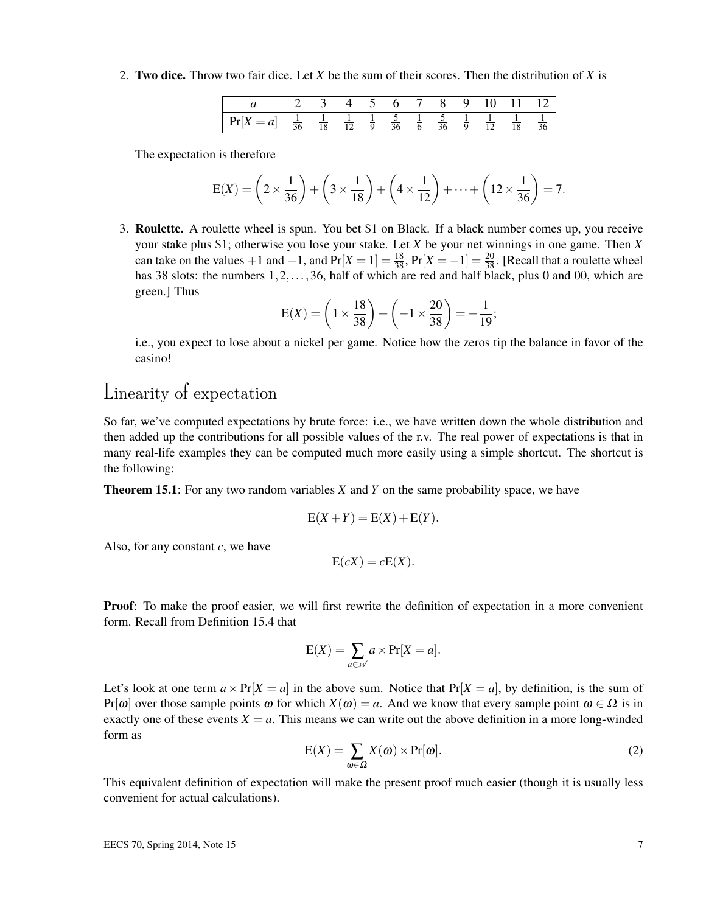2. Two dice. Throw two fair dice. Let *X* be the sum of their scores. Then the distribution of *X* is

| $Pr[X = a]$ | $\sim 100$<br>10 |  |  |  |  |  |
|-------------|------------------|--|--|--|--|--|

The expectation is therefore

$$
E(X) = \left(2 \times \frac{1}{36}\right) + \left(3 \times \frac{1}{18}\right) + \left(4 \times \frac{1}{12}\right) + \dots + \left(12 \times \frac{1}{36}\right) = 7.
$$

3. Roulette. A roulette wheel is spun. You bet \$1 on Black. If a black number comes up, you receive your stake plus \$1; otherwise you lose your stake. Let *X* be your net winnings in one game. Then *X* can take on the values +1 and -1, and  $Pr[X = 1] = \frac{18}{38}$ ,  $Pr[X = -1] = \frac{20}{38}$ . [Recall that a roulette wheel has 38 slots: the numbers 1, 2, ..., 36, half of which are red and half black, plus 0 and 00, which are green.] Thus

$$
E(X) = \left(1 \times \frac{18}{38}\right) + \left(-1 \times \frac{20}{38}\right) = -\frac{1}{19};
$$

i.e., you expect to lose about a nickel per game. Notice how the zeros tip the balance in favor of the casino!

## Linearity of expectation

So far, we've computed expectations by brute force: i.e., we have written down the whole distribution and then added up the contributions for all possible values of the r.v. The real power of expectations is that in many real-life examples they can be computed much more easily using a simple shortcut. The shortcut is the following:

Theorem 15.1: For any two random variables *X* and *Y* on the same probability space, we have

$$
E(X+Y) = E(X) + E(Y).
$$

Also, for any constant *c*, we have

$$
E(cX) = cE(X).
$$

Proof: To make the proof easier, we will first rewrite the definition of expectation in a more convenient form. Recall from Definition 15.4 that

$$
E(X) = \sum_{a \in \mathscr{A}} a \times \Pr[X = a].
$$

Let's look at one term  $a \times Pr[X = a]$  in the above sum. Notice that  $Pr[X = a]$ , by definition, is the sum of  $Pr[\omega]$  over those sample points  $\omega$  for which  $X(\omega) = a$ . And we know that every sample point  $\omega \in \Omega$  is in exactly one of these events  $X = a$ . This means we can write out the above definition in a more long-winded form as

$$
E(X) = \sum_{\omega \in \Omega} X(\omega) \times Pr[\omega].
$$
 (2)

This equivalent definition of expectation will make the present proof much easier (though it is usually less convenient for actual calculations).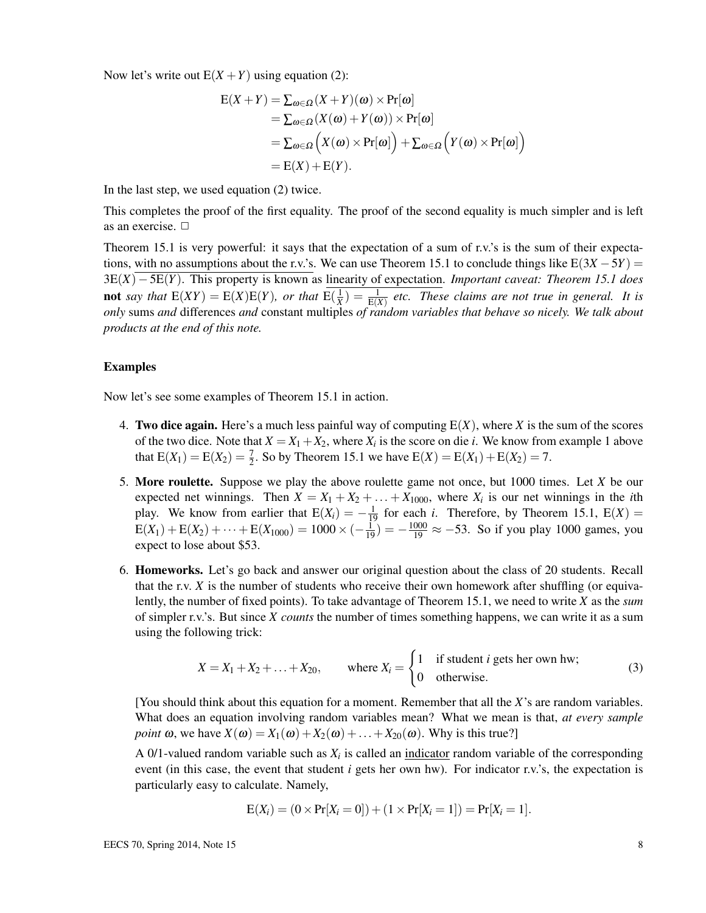Now let's write out  $E(X + Y)$  using equation (2):

$$
E(X+Y) = \sum_{\omega \in \Omega} (X+Y)(\omega) \times Pr[\omega]
$$
  
=  $\sum_{\omega \in \Omega} (X(\omega) + Y(\omega)) \times Pr[\omega]$   
=  $\sum_{\omega \in \Omega} (X(\omega) \times Pr[\omega]) + \sum_{\omega \in \Omega} (Y(\omega) \times Pr[\omega])$   
=  $E(X) + E(Y).$ 

In the last step, we used equation (2) twice.

This completes the proof of the first equality. The proof of the second equality is much simpler and is left as an exercise.  $\square$ 

Theorem 15.1 is very powerful: it says that the expectation of a sum of r.v.'s is the sum of their expectations, with no assumptions about the r.v.'s. We can use Theorem 15.1 to conclude things like  $E(3X – 5Y) =$ 3E(*X*)−5E(*Y*). This property is known as linearity of expectation. *Important caveat: Theorem 15.1 does* **not** say that  $E(XY) = E(X)E(Y)$ , or that  $E(\frac{1}{X}) = \frac{1}{E(X)}$  etc. These claims are not true in general. It is *only* sums *and* differences *and* constant multiples *of random variables that behave so nicely. We talk about products at the end of this note.*

#### Examples

Now let's see some examples of Theorem 15.1 in action.

- 4. Two dice again. Here's a much less painful way of computing E(*X*), where *X* is the sum of the scores of the two dice. Note that  $X = X_1 + X_2$ , where  $X_i$  is the score on die *i*. We know from example 1 above that  $E(X_1) = E(X_2) = \frac{7}{2}$ . So by Theorem 15.1 we have  $E(X) = E(X_1) + E(X_2) = 7$ .
- 5. More roulette. Suppose we play the above roulette game not once, but 1000 times. Let *X* be our expected net winnings. Then  $X = X_1 + X_2 + \ldots + X_{1000}$ , where  $X_i$  is our net winnings in the *i*th play. We know from earlier that  $E(X_i) = -\frac{1}{19}$  for each *i*. Therefore, by Theorem 15.1,  $E(X) =$  $E(X_1) + E(X_2) + \cdots + E(X_{1000}) = 1000 \times (-\frac{1}{19}) = -\frac{1000}{19} \approx -53$ . So if you play 1000 games, you expect to lose about \$53.
- 6. Homeworks. Let's go back and answer our original question about the class of 20 students. Recall that the r.v. *X* is the number of students who receive their own homework after shuffling (or equivalently, the number of fixed points). To take advantage of Theorem 15.1, we need to write *X* as the *sum* of simpler r.v.'s. But since *X counts* the number of times something happens, we can write it as a sum using the following trick:

$$
X = X_1 + X_2 + \ldots + X_{20}, \qquad \text{where } X_i = \begin{cases} 1 & \text{if student } i \text{ gets her own hw;} \\ 0 & \text{otherwise.} \end{cases} \tag{3}
$$

[You should think about this equation for a moment. Remember that all the *X*'s are random variables. What does an equation involving random variables mean? What we mean is that, *at every sample point*  $\omega$ , we have  $X(\omega) = X_1(\omega) + X_2(\omega) + \ldots + X_{20}(\omega)$ . Why is this true?]

A  $0/1$ -valued random variable such as  $X_i$  is called an indicator random variable of the corresponding event (in this case, the event that student *i* gets her own hw). For indicator r.v.'s, the expectation is particularly easy to calculate. Namely,

$$
E(X_i) = (0 \times Pr[X_i = 0]) + (1 \times Pr[X_i = 1]) = Pr[X_i = 1].
$$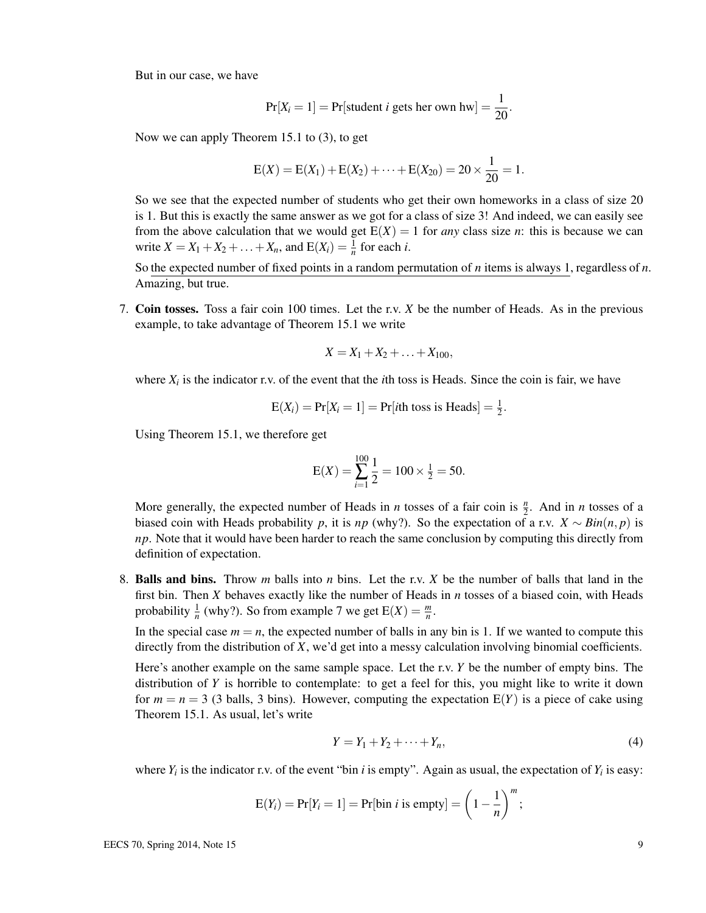But in our case, we have

$$
Pr[X_i = 1] = Pr[student \text{ } i \text{ gets her own hw}] = \frac{1}{20}.
$$

Now we can apply Theorem 15.1 to (3), to get

$$
E(X) = E(X_1) + E(X_2) + \cdots + E(X_{20}) = 20 \times \frac{1}{20} = 1.
$$

So we see that the expected number of students who get their own homeworks in a class of size 20 is 1. But this is exactly the same answer as we got for a class of size 3! And indeed, we can easily see from the above calculation that we would get  $E(X) = 1$  for *any* class size *n*: this is because we can write  $X = X_1 + X_2 + ... + X_n$ , and  $E(X_i) = \frac{1}{n}$  for each *i*.

So the expected number of fixed points in a random permutation of *n* items is always 1, regardless of *n*. Amazing, but true.

7. Coin tosses. Toss a fair coin 100 times. Let the r.v. *X* be the number of Heads. As in the previous example, to take advantage of Theorem 15.1 we write

$$
X = X_1 + X_2 + \ldots + X_{100},
$$

where  $X_i$  is the indicator r.v. of the event that the *i*th toss is Heads. Since the coin is fair, we have

$$
E(X_i) = Pr[X_i = 1] = Pr[ith toss is Heads] = \frac{1}{2}.
$$

Using Theorem 15.1, we therefore get

$$
E(X) = \sum_{i=1}^{100} \frac{1}{2} = 100 \times \frac{1}{2} = 50.
$$

More generally, the expected number of Heads in *n* tosses of a fair coin is  $\frac{n}{2}$ . And in *n* tosses of a biased coin with Heads probability *p*, it is *np* (why?). So the expectation of a r.v.  $X \sim Bin(n, p)$  is *np*. Note that it would have been harder to reach the same conclusion by computing this directly from definition of expectation.

8. Balls and bins. Throw *m* balls into *n* bins. Let the r.v. *X* be the number of balls that land in the first bin. Then *X* behaves exactly like the number of Heads in *n* tosses of a biased coin, with Heads probability  $\frac{1}{n}$  (why?). So from example 7 we get  $E(X) = \frac{m}{n}$ .

In the special case  $m = n$ , the expected number of balls in any bin is 1. If we wanted to compute this directly from the distribution of *X*, we'd get into a messy calculation involving binomial coefficients.

Here's another example on the same sample space. Let the r.v. *Y* be the number of empty bins. The distribution of *Y* is horrible to contemplate: to get a feel for this, you might like to write it down for  $m = n = 3$  (3 balls, 3 bins). However, computing the expectation  $E(Y)$  is a piece of cake using Theorem 15.1. As usual, let's write

$$
Y = Y_1 + Y_2 + \dots + Y_n,\tag{4}
$$

where  $Y_i$  is the indicator r.v. of the event "bin *i* is empty". Again as usual, the expectation of  $Y_i$  is easy:

$$
E(Y_i) = Pr[Y_i = 1] = Pr[bin i is empty] = \left(1 - \frac{1}{n}\right)^m;
$$